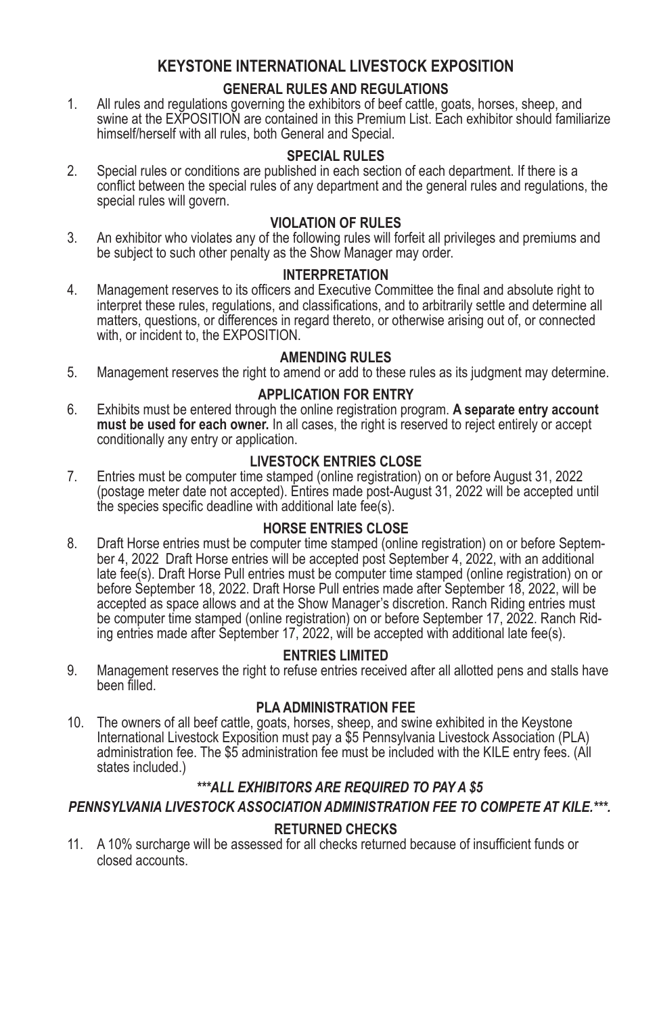# **KEYSTONE INTERNATIONAL LIVESTOCK EXPOSITION**

# **GENERAL RULES AND REGULATIONS**

1. All rules and regulations governing the exhibitors of beef cattle, goats, horses, sheep, and swine at the EXPOSITION are contained in this Premium List. Each exhibitor should familiarize himself/herself with all rules, both General and Special.

# **SPECIAL RULES**

2. Special rules or conditions are published in each section of each department. If there is a conflict between the special rules of any department and the general rules and regulations, the special rules will govern.

# **VIOLATION OF RULES**

3. An exhibitor who violates any of the following rules will forfeit all privileges and premiums and be subject to such other penalty as the Show Manager may order.

# **INTERPRETATION**

4. Management reserves to its officers and Executive Committee the final and absolute right to interpret these rules, regulations, and classifications, and to arbitrarily settle and determine all matters, questions, or differences in regard thereto, or otherwise arising out of, or connected with, or incident to, the EXPOSITION.

# **AMENDING RULES**

5. Management reserves the right to amend or add to these rules as its judgment may determine.

# **APPLICATION FOR ENTRY**

6. Exhibits must be entered through the online registration program. **A separate entry account must be used for each owner.** In all cases, the right is reserved to reject entirely or accept conditionally any entry or application.

## **LIVESTOCK ENTRIES CLOSE**

7. Entries must be computer time stamped (online registration) on or before August 31, 2022 (postage meter date not accepted). Entires made post-August 31, 2022 will be accepted until the species specific deadline with additional late fee(s).

## **HORSE ENTRIES CLOSE**

8. Draft Horse entries must be computer time stamped (online registration) on or before September 4, 2022 Draft Horse entries will be accepted post September 4, 2022, with an additional late fee(s). Draft Horse Pull entries must be computer time stamped (online registration) on or before September 18, 2022. Draft Horse Pull entries made after September 18, 2022, will be accepted as space allows and at the Show Manager's discretion. Ranch Riding entries must be computer time stamped (online registration) on or before September 17, 2022. Ranch Riding entries made after September 17, 2022, will be accepted with additional late fee(s).

## **ENTRIES LIMITED**

9. Management reserves the right to refuse entries received after all allotted pens and stalls have been filled.

## **PLA ADMINISTRATION FEE**

10. The owners of all beef cattle, goats, horses, sheep, and swine exhibited in the Keystone International Livestock Exposition must pay a \$5 Pennsylvania Livestock Association (PLA) administration fee. The \$5 administration fee must be included with the KILE entry fees. (All states included.)

# *\*\*\*ALL EXHIBITORS ARE REQUIRED TO PAY A \$5*

# *PENNSYLVANIA LIVESTOCK ASSOCIATION ADMINISTRATION FEE TO COMPETE AT KILE.\*\*\*.*

## **RETURNED CHECKS**

11. A 10% surcharge will be assessed for all checks returned because of insufficient funds or closed accounts.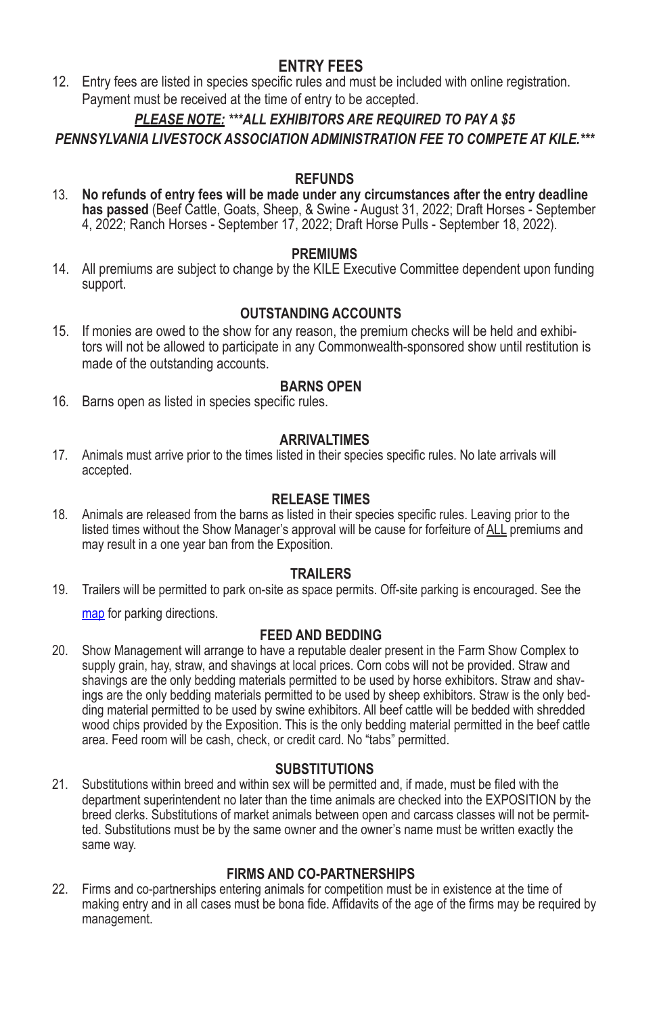# **ENTRY FEES**

12. Entry fees are listed in species specific rules and must be included with online registration. Payment must be received at the time of entry to be accepted.

# *PLEASE NOTE: \*\*\*ALL EXHIBITORS ARE REQUIRED TO PAY A \$5 PENNSYLVANIA LIVESTOCK ASSOCIATION ADMINISTRATION FEE TO COMPETE AT KILE.\*\*\**

### **REFUNDS**

13. **No refunds of entry fees will be made under any circumstances after the entry deadline has passed** (Beef Cattle, Goats, Sheep, & Swine - August 31, 2022; Draft Horses - September 4, 2022; Ranch Horses - September 17, 2022; Draft Horse Pulls - September 18, 2022).

## **PREMIUMS**

14. All premiums are subject to change by the KILE Executive Committee dependent upon funding support.

# **OUTSTANDING ACCOUNTS**

15. If monies are owed to the show for any reason, the premium checks will be held and exhibitors will not be allowed to participate in any Commonwealth-sponsored show until restitution is made of the outstanding accounts.

#### **BARNS OPEN**

16*.* Barns open as listed in species specific rules.

#### **ARRIVALTIMES**

17*.* Animals must arrive prior to the times listed in their species specific rules. No late arrivals will accepted.

## **RELEASE TIMES**

18*.* Animals are released from the barns as listed in their species specific rules. Leaving prior to the listed times without the Show Manager's approval will be cause for forfeiture of ALL premiums and may result in a one year ban from the Exposition.

#### **TRAILERS**

19. Trailers will be permitted to park on-site as space permits. Off-site parking is encouraged. See the map for parking directions.

## **FEED AND BEDDING**

20. Show Management will arrange to have a reputable dealer present in the Farm Show Complex to supply grain, hay, straw, and shavings at local prices. Corn cobs will not be provided. Straw and shavings are the only bedding materials permitted to be used by horse exhibitors. Straw and shavings are the only bedding materials permitted to be used by sheep exhibitors. Straw is the only bedding material permitted to be used by swine exhibitors. All beef cattle will be bedded with shredded wood chips provided by the Exposition. This is the only bedding material permitted in the beef cattle area. Feed room will be cash, check, or credit card. No "tabs" permitted.

#### **SUBSTITUTIONS**

21. Substitutions within breed and within sex will be permitted and, if made, must be filed with the department superintendent no later than the time animals are checked into the EXPOSITION by the breed clerks. Substitutions of market animals between open and carcass classes will not be permitted. Substitutions must be by the same owner and the owner's name must be written exactly the same way.

## **FIRMS AND CO‑PARTNERSHIPS**

22. Firms and co-partnerships entering animals for competition must be in existence at the time of making entry and in all cases must be bona fide. Affidavits of the age of the firms may be required by management.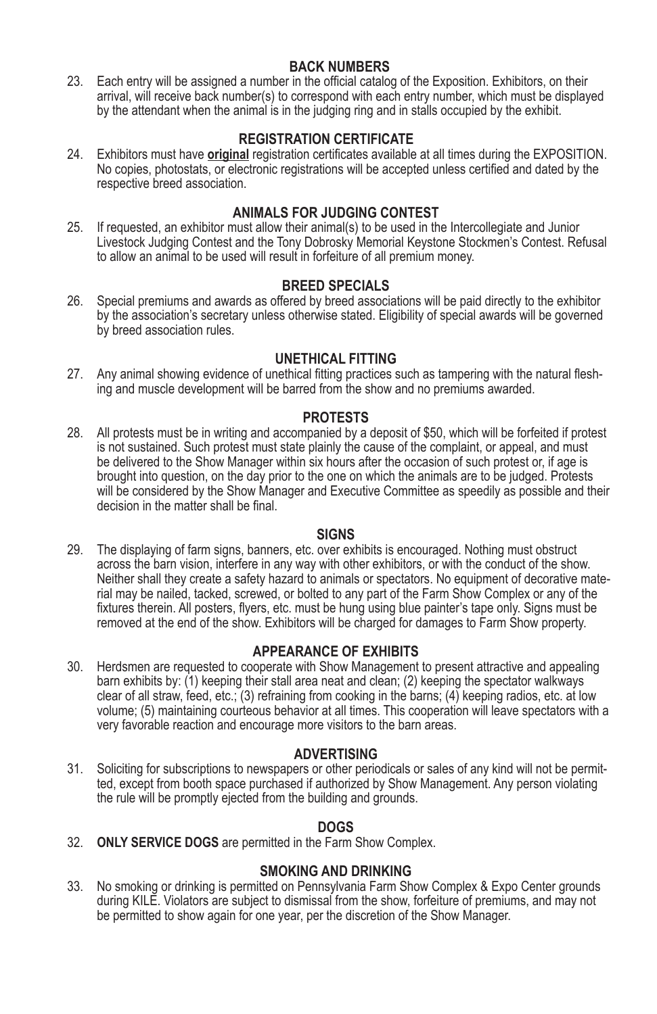# **BACK NUMBERS**

23. Each entry will be assigned a number in the official catalog of the Exposition. Exhibitors, on their arrival, will receive back number(s) to correspond with each entry number, which must be displayed by the attendant when the animal is in the judging ring and in stalls occupied by the exhibit.

# **REGISTRATION CERTIFICATE**

24. Exhibitors must have **original** registration certificates available at all times during the EXPOSITION. No copies, photostats, or electronic registrations will be accepted unless certified and dated by the respective breed association.

# **ANIMALS FOR JUDGING CONTEST**

25. If requested, an exhibitor must allow their animal(s) to be used in the Intercollegiate and Junior Livestock Judging Contest and the Tony Dobrosky Memorial Keystone Stockmen's Contest. Refusal to allow an animal to be used will result in forfeiture of all premium money.

## **BREED SPECIALS**

26. Special premiums and awards as offered by breed associations will be paid directly to the exhibitor by the association's secretary unless otherwise stated. Eligibility of special awards will be governed by breed association rules.

## **UNETHICAL FITTING**

27. Any animal showing evidence of unethical fitting practices such as tampering with the natural fleshing and muscle development will be barred from the show and no premiums awarded.

#### **PROTESTS**

28. All protests must be in writing and accompanied by a deposit of \$50, which will be forfeited if protest is not sustained. Such protest must state plainly the cause of the complaint, or appeal, and must be delivered to the Show Manager within six hours after the occasion of such protest or, if age is brought into question, on the day prior to the one on which the animals are to be judged. Protests will be considered by the Show Manager and Executive Committee as speedily as possible and their decision in the matter shall be final.

#### **SIGNS**

29. The displaying of farm signs, banners, etc. over exhibits is encouraged. Nothing must obstruct across the barn vision, interfere in any way with other exhibitors, or with the conduct of the show. Neither shall they create a safety hazard to animals or spectators. No equipment of decorative material may be nailed, tacked, screwed, or bolted to any part of the Farm Show Complex or any of the fixtures therein. All posters, flyers, etc. must be hung using blue painter's tape only. Signs must be removed at the end of the show. Exhibitors will be charged for damages to Farm Show property.

## **APPEARANCE OF EXHIBITS**

30. Herdsmen are requested to cooperate with Show Management to present attractive and appealing barn exhibits by: (1) keeping their stall area neat and clean; (2) keeping the spectator walkways clear of all straw, feed, etc.; (3) refraining from cooking in the barns; (4) keeping radios, etc. at low volume; (5) maintaining courteous behavior at all times. This cooperation will leave spectators with a very favorable reaction and encourage more visitors to the barn areas.

#### **ADVERTISING**

31. Soliciting for subscriptions to newspapers or other periodicals or sales of any kind will not be permitted, except from booth space purchased if authorized by Show Management. Any person violating the rule will be promptly ejected from the building and grounds.

#### **DOGS**

32. **ONLY SERVICE DOGS** are permitted in the Farm Show Complex.

## **SMOKING AND DRINKING**

33. No smoking or drinking is permitted on Pennsylvania Farm Show Complex & Expo Center grounds during KILE. Violators are subject to dismissal from the show, forfeiture of premiums, and may not be permitted to show again for one year, per the discretion of the Show Manager.